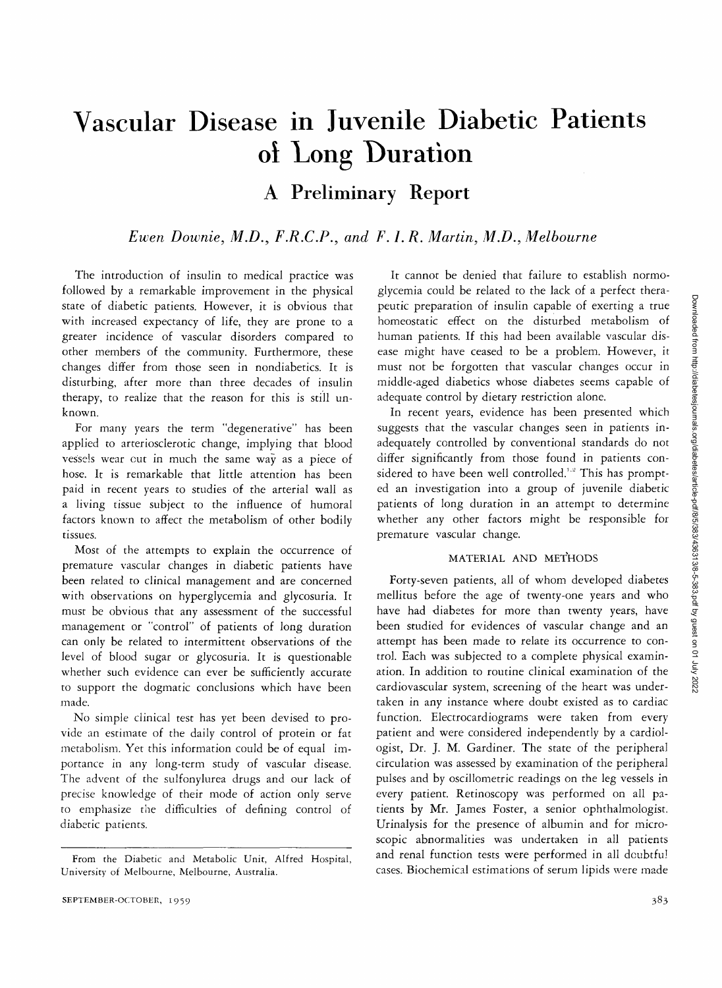# Vascular Disease in Juvenile Diabetic Patients oi Long Duration

# A Preliminary Report

# *Ewen Downie, M.D., F.R.C.P., and F. I. R. Martin, M.D., Melbourne*

The introduction of insulin to medical practice was followed by a remarkable improvement in the physical state of diabetic patients. However, it is obvious that with increased expectancy of life, they are prone to a greater incidence of vascular disorders compared to other members of the community. Furthermore, these changes differ from those seen in nondiabetics. It is disturbing, after more than three decades of insulin therapy, to realize that the reason for this is still unknown.

For many years the term "degenerative" has been applied to arteriosclerotic change, implying that blood vessels wear cut in much the same way as a piece of hose. It is remarkable that little attention has been paid in recent years to studies of the arterial wall as a living tissue subject to the influence of humoral factors known to affect the metabolism of other bodily tissues.

Most of the attempts to explain the occurrence of premature vascular changes in diabetic patients have been related to clinical management and are concerned with observations on hyperglycemia and glycosuria. It must be obvious that any assessment of the successful management or "control" of patients of long duration can only be related to intermittent observations of the level of blood sugar or glycosuria. It is questionable whether such evidence can ever be sufficiently accurate to support the dogmatic conclusions which have been made.

No simple clinical test has yet been devised to provide an estimate of the daily control of protein or fat metabolism. Yet this information could be of equal importance in any long-term study of vascular disease. The advent of the sulfonylurea drugs and our lack of precise knowledge of their mode of action only serve to emphasize the difficulties of defining control of diabetic patients.

It cannot be denied that failure to establish normoglycemia could be related to the lack of a perfect therapeutic preparation of insulin capable of exerting a true homeostatic effect on the disturbed metabolism of human patients. If this had been available vascular disease might have ceased to be a problem. However, it must not be forgotten that vascular changes occur in middle-aged diabetics whose diabetes seems capable of adequate control by dietary restriction alone.

In recent years, evidence has been presented which suggests that the vascular changes seen in patients inadequately controlled by conventional standards do not differ significantly from those found in patients considered to have been well controlled.<sup>1,2</sup> This has prompted an investigation into a group of juvenile diabetic patients of long duration in an attempt to determine whether any other factors might be responsible for premature vascular change.

# MATERIAL AND METHODS

Forty-seven patients, all of whom developed diabetes mellitus before the age of twenty-one years and who have had diabetes for more than twenty years, have been studied for evidences of vascular change and an attempt has been made to relate its occurrence to control. Each was subjected to a complete physical examination. In addition to routine clinical examination of the cardiovascular system, screening of the heart was undertaken in any instance where doubt existed as to cardiac function. Electrocardiograms were taken from every patient and were considered independently by a cardiologist, Dr. J. M. Gardiner. The state of the peripheral circulation was assessed by examination of the peripheral pulses and by oscillometric readings on the leg vessels in every patient. Retinoscopy was performed on all patients by Mr. James Foster, a senior ophthalmologist. Urinalysis for the presence of albumin and for microscopic abnormalities was undertaken in all patients and renal function tests were performed in all doubtful cases. Biochemical estimations of serum lipids were made

From the Diabetic and Metabolic Unit, Alfred Hospital, University of Melbourne, Melbourne, Australia.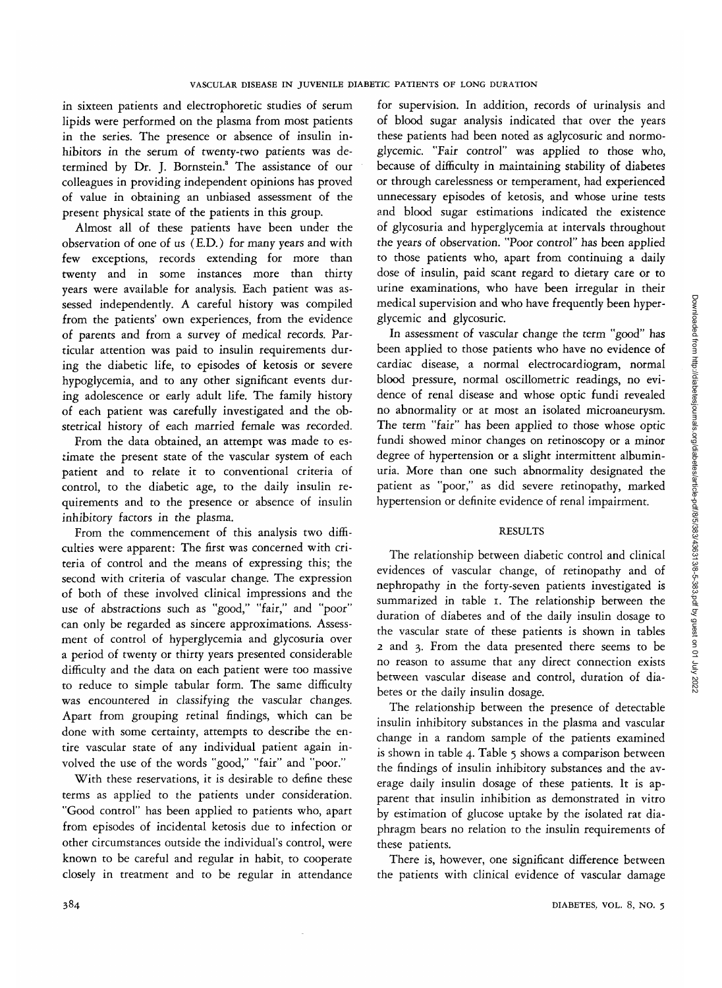in sixteen patients and electrophoretic studies of serum lipids were performed on the plasma from most patients in the series. The presence or absence of insulin inhibitors in the serum of twenty-two patients was determined by Dr. J. Bornstein.<sup>3</sup> The assistance of our colleagues in providing independent opinions has proved of value in obtaining an unbiased assessment of the present physical state of the patients in this group.

Almost all of these patients have been under the observation of one of us (E.D.) for many years and with few exceptions, records extending for more than twenty and in some instances more than thirty years were available for analysis. Each patient was assessed independently. A careful history was compiled from the patients' own experiences, from the evidence of parents and from a survey of medical records. Particular attention was paid to insulin requirements during the diabetic life, to episodes of ketosis or severe hypoglycemia, and to any other significant events during adolescence or early adult life. The family history of each patient was carefully investigated and the obstetrical history of each married female was recorded.

From the data obtained, an attempt was made to estimate the present state of the vascular system of each patient and to relate it to conventional criteria of control, to the diabetic age, to the daily insulin requirements and to the presence or absence of insulin inhibitory factors in the plasma.

From the commencement of this analysis two difficulties were apparent: The first was concerned with criteria of control and the means of expressing this; the second with criteria of vascular change. The expression of both of these involved clinical impressions and the use of abstractions such as "good," "fair," and "poor" can only be regarded as sincere approximations. Assessment of control of hyperglycemia and glycosuria over a period of twenty or thirty years presented considerable difficulty and the data on each patient were too massive to reduce to simple tabular form. The same difficulty was encountered in classifying the vascular changes. Apart from grouping retinal findings, which can be done with some certainty, attempts to describe the entire vascular state of any individual patient again involved the use of the words "good," "fair" and "poor."

With these reservations, it is desirable to define these terms as applied to the patients under consideration. "Good control" has been applied to patients who, apart from episodes of incidental ketosis due to infection or other circumstances outside the individual's control, were known to be careful and regular in habit, to cooperate closely in treatment and to be regular in attendance for supervision. In addition, records of urinalysis and of blood sugar analysis indicated that over the years these patients had been noted as aglycosuric and normoglycemic. "Fair control" was applied to those who, because of difficulty in maintaining stability of diabetes or through carelessness or temperament, had experienced unnecessary episodes of ketosis, and whose urine tests and blood sugar estimations indicated the existence of glycosuria and hyperglycemia at intervals throughout the years of observation. "Poor control" has been applied to those patients who, apart from continuing a daily dose of insulin, paid scant regard to dietary care or to urine examinations, who have been irregular in their medical supervision and who have frequently been hyperglycemic and glycosuric.

In assessment of vascular change the term "good" has been applied to those patients who have no evidence of cardiac disease, a normal electrocardiogram, normal blood pressure, normal oscillometric readings, no evidence of renal disease and whose optic fundi revealed no abnormality or at most an isolated microaneurysm. The term "fair" has been applied to those whose optic fundi showed minor changes on retinoscopy or a minor degree of hypertension or a slight intermittent albuminuria. More than one such abnormality designated the patient as "poor," as did severe retinopathy, marked hypertension or definite evidence of renal impairment.

#### RESULTS

The relationship between diabetic control and clinical evidences of vascular change, of retinopathy and of nephropathy in the forty-seven patients investigated is summarized in table i. The relationship between the duration of diabetes and of the daily insulin dosage to the vascular state of these patients is shown in tables 2 and 3. From the data presented there seems to be no reason to assume that any direct connection exists between vascular disease and control, duration of diabetes or the daily insulin dosage.

The relationship between the presence of detectable insulin inhibitory substances in the plasma and vascular change in a random sample of the patients examined is shown in table 4. Table 5 shows a comparison between the findings of insulin inhibitory substances and the average daily insulin dosage of these patients. It is apparent that insulin inhibition as demonstrated in vitro by estimation of glucose uptake by the isolated rat diaphragm bears no relation to the insulin requirements of these patients.

There is, however, one significant difference between the patients with clinical evidence of vascular damage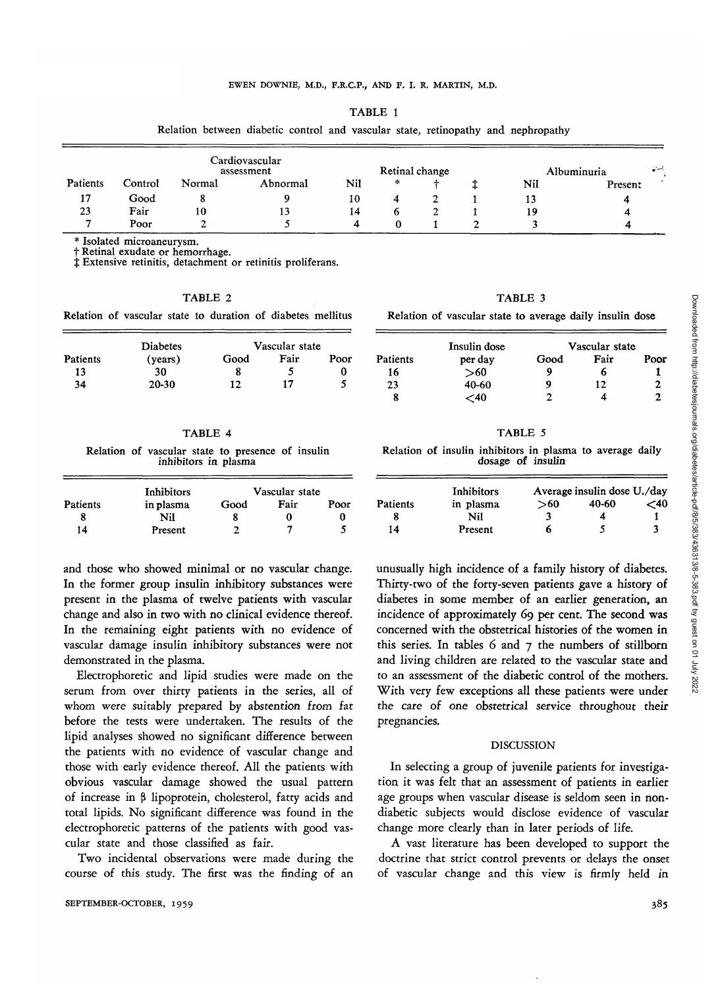## TABLE 1

Relation between diabetic control and vascular state, retinopathy and nephropathy

|          |         |        | Cardiovascular<br>assessment | Retinal change |   |  |  | يستهدين<br>Albuminuria |         |  |
|----------|---------|--------|------------------------------|----------------|---|--|--|------------------------|---------|--|
| Patients | Control | Normal | Abnormal                     | Nil            | 楽 |  |  | Nil                    | Present |  |
| 17       | Good    |        |                              | 10             |   |  |  | 13                     | 4       |  |
| 23       | Fair    | 10     | 13                           | 14             |   |  |  | 19                     | 4       |  |
|          | Poor    | ∸      |                              | 4              |   |  |  |                        |         |  |

*\** Isolated microaneurysm.<br> *†* Retinal exudate or hemorrhage.<br> *‡* Extensive retinitis, detachment or retinitis proliferans.

TABLE 2

Relation of vascular state to duration of diabetes mellitus

|          | <b>Diabetes</b> | Vascular state |      |      |          | Insulin dose | Vascular state |      |        |
|----------|-----------------|----------------|------|------|----------|--------------|----------------|------|--------|
| Patients | (years)         | Good           | Fair | Poor | Patients | per day      | Good           | Fair | Poor   |
| 13       | 30              |                |      |      | 16       | >60          |                | o    |        |
| 34       | $20 - 30$       | 12             | . .  |      | 23       | 40-60        | Q              | 12   | ◠<br>▵ |
|          |                 |                |      |      |          | $<$ 40       |                | 4    | ◠<br>- |

| `ABLI<br>-1 |
|-------------|
|-------------|

Relation of vascular state to presence of insulin inhibitors in plasma

|          | Inhibitors |      | Vascular state |      |                 | <b>Inhibitors</b> |        | Average insulin dose U./day |     |
|----------|------------|------|----------------|------|-----------------|-------------------|--------|-----------------------------|-----|
| Patients | in plasma  | Good | Fair           | Poor | <b>Patients</b> | in plasma         | $>$ 60 | 40-60                       | ⊂40 |
|          | Nil        |      |                |      |                 | Nil               |        |                             |     |
| 14       | Present    |      |                |      |                 | Present           |        |                             |     |

and those who showed minimal or no vascular change. In the former group insulin inhibitory substances were present in the plasma of twelve patients with vascular change and also in two with no clinical evidence thereof. In the remaining eight patients with no evidence of vascular damage insulin inhibitory substances were not demonstrated in the plasma.

Electrophoretic and lipid studies were made on the serum from over thirty patients in the series, all of whom were suitably prepared by abstention from fat before the tests were undertaken. The results of the lipid analyses showed no significant difference between the patients with no evidence of vascular change and those with early evidence thereof. All the patients with obvious vascular damage showed the usual pattern of increase in  $\beta$  lipoprotein, cholesterol, fatty acids and total lipids. No significant difference was found in the electrophoretic patterns of the patients with good vascular state and those classified as fair.

Two incidental observations were made during the course of this study. The first was the finding of an unusually high incidence of a family history of diabetes. Thirty-two of the forty-seven patients gave a history of diabetes in some member of an earlier generation, an incidence of approximately 69 per cent. The second was concerned with the obstetrical histories of the women in this series. In tables 6 and 7 the numbers of stillborn and living children are related to the vascular state and to an assessment of the diabetic control of the mothers. With very few exceptions all these patients were under the care of one obstetrical service throughout their pregnancies.

TABLE 3 Relation of vascular state to average daily insulin dose

TABLE 5 Relation of insulin inhibitors in plasma to average daily dosage of insulin

#### DISCUSSION

In selecting a group of juvenile patients for investigation it was felt that an assessment of patients in earlier age groups when vascular disease is seldom seen in nondiabetic subjects would disclose evidence of vascular change more clearly than in later periods of life.

A vast literature has been developed to support the doctrine that strict control prevents or delays the onset of vascular change and this view is firmly held in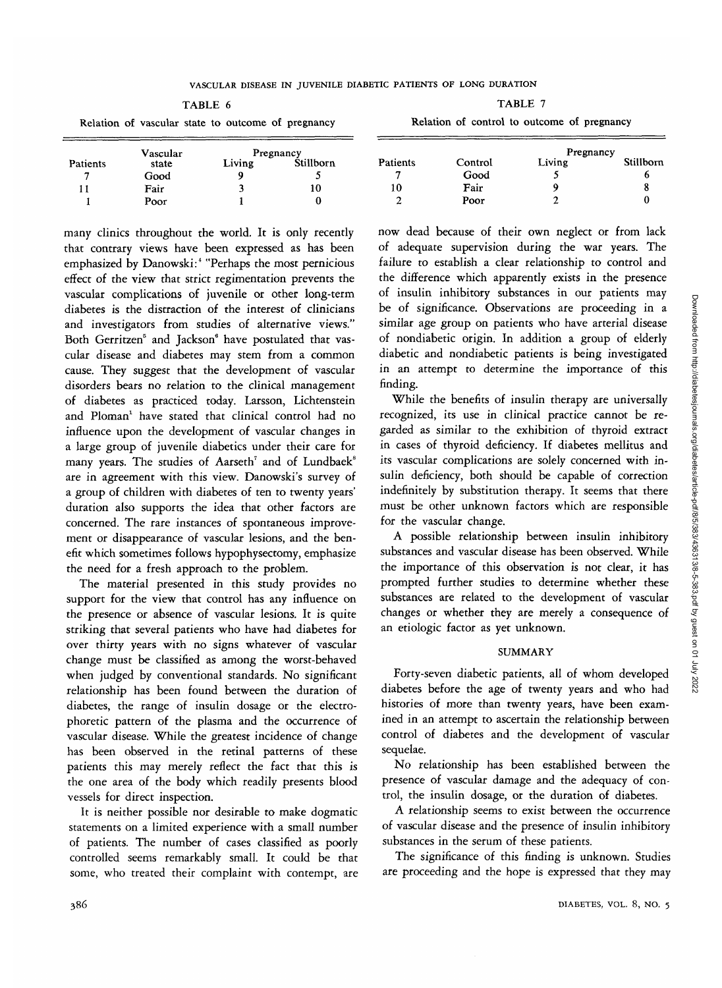Relation of vascular state to outcome of pregnancy **Relation** of control to outcome of pregnancy

|          | Vascular | Pregnancy |           |          |         | Pregnancy |           |
|----------|----------|-----------|-----------|----------|---------|-----------|-----------|
| Patients | state    | Living    | Stillborn | Patients | Control | Living    | Stillborn |
|          | Good     |           |           |          | Good    |           |           |
|          | Fair     |           | 10        | 10       | Fair    |           | о         |
|          | Poor     |           |           |          | Poor    |           | ν         |

many clinics throughout the world. It is only recently that contrary views have been expressed as has been emphasized by Danowski:<sup>4</sup> "Perhaps the most pernicious effect of the view that strict regimentation prevents the vascular complications of juvenile or other long-term diabetes is the distraction of the interest of clinicians and investigators from studies of alternative views." Both Gerritzen<sup>5</sup> and Jackson<sup>6</sup> have postulated that vascular disease and diabetes may stem from a common cause. They suggest that the development of vascular disorders bears no relation to the clinical management of diabetes as practiced today. Larsson, Lichtenstein and Ploman<sup>1</sup> have stated that clinical control had no influence upon the development of vascular changes in a large group of juvenile diabetics under their care for  $\overline{\text{many}}$  vears. The studies of Aarseth<sup>7</sup> and of Lundbaek<sup>8</sup> are in agreement with this view. Danowski's survey of a group of children with diabetes of ten to twenty years' duration also supports the idea that other factors are concerned. The rare instances of spontaneous improvement or disappearance of vascular lesions, and the benefit which sometimes follows hypophysectomy, emphasize the need for a fresh approach to the problem.

The material presented in this study provides no support for the view that control has any influence on the presence or absence of vascular lesions. It is quite striking that several patients who have had diabetes for over thirty years with no signs whatever of vascular change must be classified as among the worst-behaved when judged by conventional standards. No significant relationship has been found between the duration of diabetes, the range of insulin dosage or the electrophoretic pattern of the plasma and the occurrence of vascular disease. While the greatest incidence of change has been observed in the retinal patterns of these patients this may merely reflect the fact that this *is* the one area of the body which readily presents blood vessels for direct inspection.

It is neither possible nor desirable to make dogmatic statements on a limited experience with a small number of patients. The number of cases classified as poorly controlled seems remarkably small. It could be that some, who treated their complaint with contempt, are now dead because of their own neglect or from lack of adequate supervision during the war years. The failure to establish a clear relationship to control and the difference which apparently exists in the presence of insulin inhibitory substances in our patients may be of significance. Observations are proceeding in a similar age group on patients who have arterial disease of nondiabetic origin. In addition a group of elderly diabetic and nondiabetic patients is being investigated in an attempt to determine the importance of this finding.

While the benefits of insulin therapy are universally recognized, its use in clinical practice cannot be regarded as similar to the exhibition of thyroid extract in cases of thyroid deficiency. If diabetes mellitus and its vascular complications are solely concerned with insulin deficiency, both should be capable of correction indefinitely by substitution therapy. It seems that there must be other unknown factors which are responsible for the vascular change.

A possible relationship between insulin inhibitory substances and vascular disease has been observed. While the importance of this observation is not clear, it has prompted further studies to determine whether these substances are related to the development of vascular changes or whether they are merely a consequence of an etiologic factor as yet unknown.

# SUMMARY

Forty-seven diabetic patients, all of whom developed diabetes before the age of twenty years and who had histories of more than twenty years, have been examined in an attempt to ascertain the relationship between control of diabetes and the development of vascular sequelae.

No relationship has been established between the presence of vascular damage and the adequacy of control, the insulin dosage, or the duration of diabetes.

A relationship seems to exist between the occurrence of vascular disease and the presence of insulin inhibitory substances in the serum of these patients.

The significance of this finding is unknown. Studies are proceeding and the hope is expressed that they may